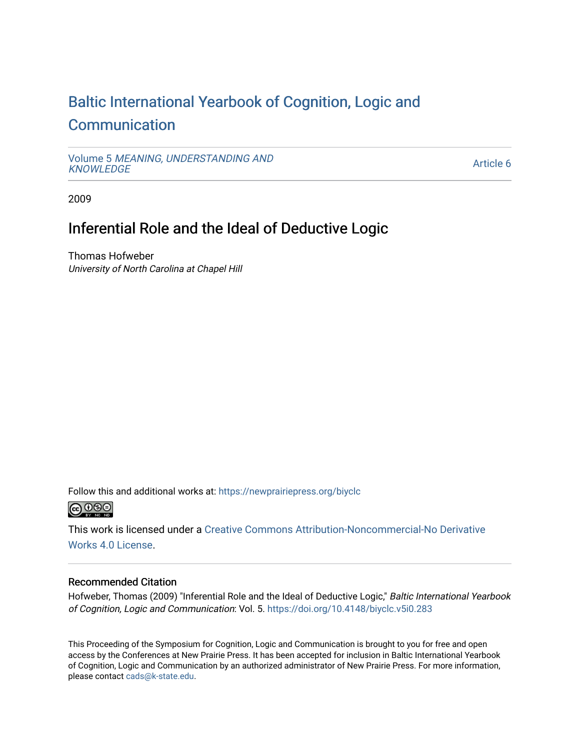# [Baltic International Yearbook of Cognition, Logic and](https://newprairiepress.org/biyclc)  **[Communication](https://newprairiepress.org/biyclc)**

Volume 5 [MEANING, UNDERSTANDING AND](https://newprairiepress.org/biyclc/vol5) **[KNOWLEDGE](https://newprairiepress.org/biyclc/vol5)** 

[Article 6](https://newprairiepress.org/biyclc/vol5/iss1/6) 

2009

## Inferential Role and the Ideal of Deductive Logic

Thomas Hofweber University of North Carolina at Chapel Hill

Follow this and additional works at: [https://newprairiepress.org/biyclc](https://newprairiepress.org/biyclc?utm_source=newprairiepress.org%2Fbiyclc%2Fvol5%2Fiss1%2F6&utm_medium=PDF&utm_campaign=PDFCoverPages) 



This work is licensed under a [Creative Commons Attribution-Noncommercial-No Derivative](https://creativecommons.org/licenses/by-nc-nd/4.0/)  [Works 4.0 License](https://creativecommons.org/licenses/by-nc-nd/4.0/).

### Recommended Citation

Hofweber, Thomas (2009) "Inferential Role and the Ideal of Deductive Logic," Baltic International Yearbook of Cognition, Logic and Communication: Vol. 5.<https://doi.org/10.4148/biyclc.v5i0.283>

This Proceeding of the Symposium for Cognition, Logic and Communication is brought to you for free and open access by the Conferences at New Prairie Press. It has been accepted for inclusion in Baltic International Yearbook of Cognition, Logic and Communication by an authorized administrator of New Prairie Press. For more information, please contact [cads@k-state.edu.](mailto:cads@k-state.edu)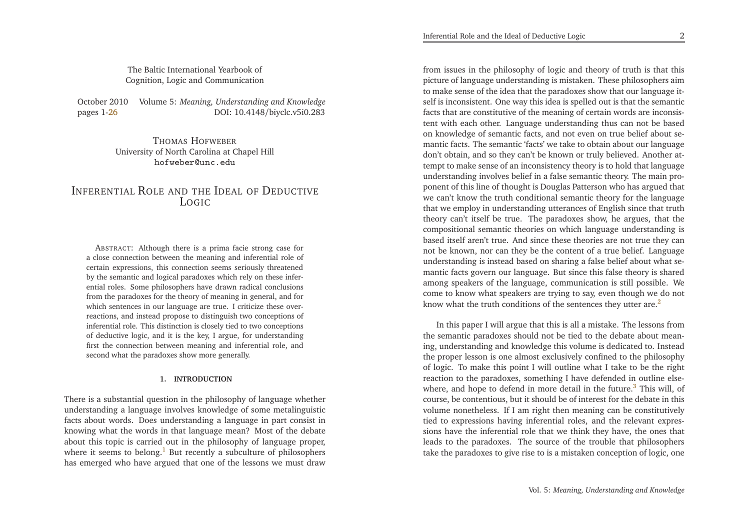The Baltic International Yearbook ofCognition, Logic and Communication

October <sup>2010</sup> Volume 5: *Meaning, Understanding and Knowledge* DOI: 10.4148/biyclc.v5i0.283 pages 1[-26](#page-13-0)

> THOMAS <sup>H</sup>OFWEBER University of North Carolina at Chapel Hillhofweber@unc.edu

## <span id="page-1-0"></span>INFERENTIAL ROLE AND THE IDEAL OF DEDUCTIVE LOGIC

<span id="page-1-2"></span>ABSTRACT: Although there is <sup>a</sup> prima facie strong case for <sup>a</sup> close connection between the meaning and inferential role of certain expressions, this connection seems seriously threatened by the semantic and logical paradoxes which rely on these inferential roles. Some <sup>p</sup>hilosophers have drawn radical conclusions from the paradoxes for the theory of meaning in general, and for which sentences in our language are true. <sup>I</sup> criticize these overreactions, and instead propose to distinguish two conceptions of inferential role. This distinction is closely tied to two conceptions of deductive logic, and it is the key, <sup>I</sup> argue, for understanding first the connection between meaning and inferential role, andsecond what the paradoxes show more generally.

#### <span id="page-1-1"></span>**1. INTRODUCTION**

There is <sup>a</sup> substantial question in the <sup>p</sup>hilosophy of language whether understanding <sup>a</sup> language involves knowledge of some metalinguistic facts about words. Does understanding <sup>a</sup> language in par<sup>t</sup> consist in knowing what the words in that language mean? Most of the debate about this topic is carried out in the <sup>p</sup>hilosophy of language proper, where it seems to belong.<sup>[1](#page-13-1)</sup> But recently a subculture of philosophers has emerged who have argued that one of the lessons we must draw

from issues in the <sup>p</sup>hilosophy of logic and theory of truth is that this <sup>p</sup>icture of language understanding is mistaken. These <sup>p</sup>hilosophers aim to make sense of the idea that the paradoxes show that our language itself is inconsistent. One way this idea is spelled out is that the semantic facts that are constitutive of the meaning of certain words are inconsistent with each other. Language understanding thus can not be based on knowledge of semantic facts, and not even on true belief about semantic facts. The semantic 'facts' we take to obtain about our language don't obtain, and so they can't be known or truly believed. Another attempt to make sense of an inconsistency theory is to hold that language understanding involves belief in <sup>a</sup> false semantic theory. The main proponen<sup>t</sup> of this line of thought is Douglas Patterson who has argued that we can't know the truth conditional semantic theory for the language that we employ in understanding utterances of English since that truth theory can't itself be true. The paradoxes show, he argues, that the compositional semantic theories on which language understanding is based itself aren't true. And since these theories are not true they can not be known, nor can they be the content of <sup>a</sup> true belief. Language understanding is instead based on sharing <sup>a</sup> false belief about what semantic facts govern our language. But since this false theory is shared among speakers of the language, communication is still possible. Wecome to know what speakers are trying to say, even though we do not know what the truth conditions of the sentences they utter are.<sup>[2](#page-13-2)</sup>

In this paper <sup>I</sup> will argue that this is all <sup>a</sup> mistake. The lessons from the semantic paradoxes should not be tied to the debate about meaning, understanding and knowledge this volume is dedicated to. Instead the proper lesson is one almost exclusively confined to the <sup>p</sup>hilosophy of logic. To make this point <sup>I</sup> will outline what <sup>I</sup> take to be the right reaction to the paradoxes, something <sup>I</sup> have defended in outline else-where, and hope to defend in more detail in the future.<sup>[3](#page-13-3)</sup> This will, of course, be contentious, but it should be of interest for the debate in this volume nonetheless. If <sup>I</sup> am right then meaning can be constitutively tied to expressions having inferential roles, and the relevant expressions have the inferential role that we think they have, the ones that leads to the paradoxes. The source of the trouble that <sup>p</sup>hilosopherstake the paradoxes to <sup>g</sup>ive rise to is <sup>a</sup> mistaken conception of logic, one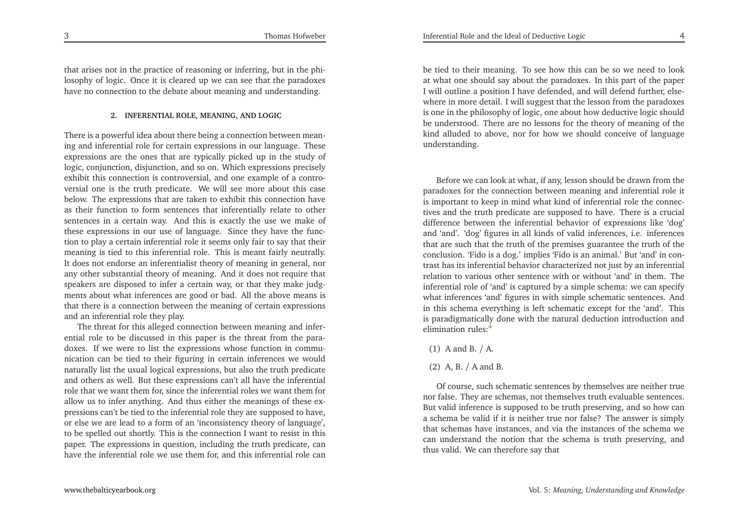Inferential Role and the Ideal of Deductive Logic

that arises not in the practice of reasoning or inferring, but in the <sup>p</sup>hilosophy of logic. Once it is cleared up we can see that the paradoxeshave no connection to the debate about meaning and understanding.

#### <span id="page-2-0"></span>**2. INFERENTIAL ROLE, MEANING, AND LOGIC**

There is <sup>a</sup> powerful idea about there being <sup>a</sup> connection between meaning and inferential role for certain expressions in our language. These expressions are the ones that are typically <sup>p</sup>icked up in the study of logic, conjunction, disjunction, and so on. Which expressions precisely exhibit this connection is controversial, and one example of <sup>a</sup> controversial one is the truth predicate. We will see more about this case below. The expressions that are taken to exhibit this connection have as their function to form sentences that inferentially relate to other sentences in <sup>a</sup> certain way. And this is exactly the use we make of these expressions in our use of language. Since they have the function to <sup>p</sup>lay <sup>a</sup> certain inferential role it seems only fair to say that their meaning is tied to this inferential role. This is meant fairly neutrally. It does not endorse an inferentialist theory of meaning in general, nor any other substantial theory of meaning. And it does not require that speakers are disposed to infer <sup>a</sup> certain way, or that they make judgments about what inferences are good or bad. All the above means is that there is <sup>a</sup> connection between the meaning of certain expressionsand an inferential role they <sup>p</sup>lay.

The threat for this alleged connection between meaning and inferential role to be discussed in this paper is the threat from the paradoxes. If we were to list the expressions whose function in communication can be tied to their figuring in certain inferences we would naturally list the usual logical expressions, but also the truth predicate and others as well. But these expressions can't all have the inferentialrole that we want them for, since the inferential roles we want them for allow us to infer anything. And thus either the meanings of these expressions can't be tied to the inferential role they are supposed to have, or else we are lead to <sup>a</sup> form of an 'inconsistency theory of language', to be spelled out shortly. This is the connection <sup>I</sup> want to resist in this paper. The expressions in question, including the truth predicate, canhave the inferential role we use them for, and this inferential role can

be tied to their meaning. To see how this can be so we need to look at what one should say about the paradoxes. In this par<sup>t</sup> of the paper <sup>I</sup> will outline <sup>a</sup> position <sup>I</sup> have defended, and will defend further, elsewhere in more detail. <sup>I</sup> will sugges<sup>t</sup> that the lesson from the paradoxes is one in the <sup>p</sup>hilosophy of logic, one about how deductive logic should be understood. There are no lessons for the theory of meaning of the kind alluded to above, nor for how we should conceive of languageunderstanding.

Before we can look at what, if any, lesson should be drawn from the<br>ederes for the connection hattuers meaning and informatial rale in paradoxes for the connection between meaning and inferential role it is important to keep in mind what kind of inferential role the connectives and the truth predicate are supposed to have. There is <sup>a</sup> crucial difference between the inferential behavior of expressions like 'dog' and 'and'. 'dog' figures in all kinds of valid inferences, i.e. inferences that are such that the truth of the premises guarantee the truth of the conclusion. 'Fido is <sup>a</sup> dog.' implies 'Fido is an animal.' But 'and' in contrast has its inferential behavior characterized not just by an inferential relation to various other sentence with or without 'and' in them. The inferential role of 'and' is captured by <sup>a</sup> simple schema: we can specify what inferences 'and' figures in with simple schematic sentences. And in this schema everything is left schematic excep<sup>t</sup> for the 'and'. This is paradigmatically done with the natural deduction introduction andelimination rules:[4](#page-13-4)

## (1) <sup>A</sup> and B. / A.

## (2) A, B. / <sup>A</sup> and B.

Of course, such schematic sentences by themselves are neither true nor false. They are schemas, not themselves truth evaluable sentences. But valid inference is supposed to be truth preserving, and so how can <sup>a</sup> schema be valid if it is neither true nor false? The answer is simply that schemas have instances, and via the instances of the schema we can understand the notion that the schema is truth preserving, andthus valid. We can therefore say that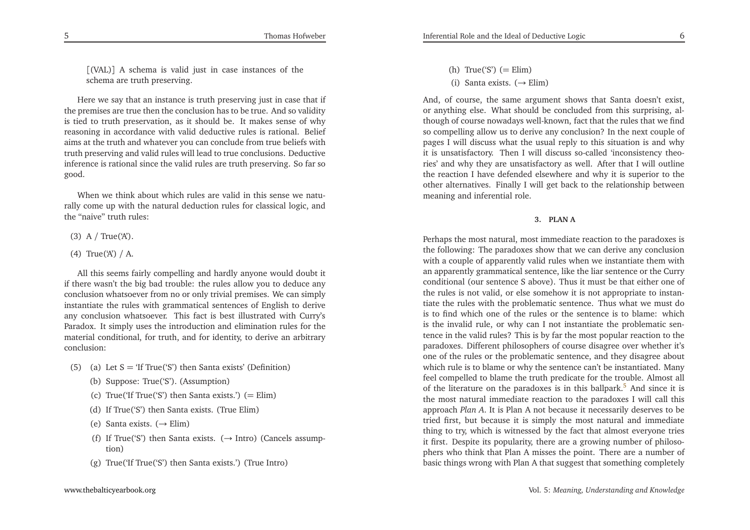[(VAL)] <sup>A</sup> schema is valid just in case instances of theschema are truth preserving.

Thomas Hofweber

Here we say that an instance is truth preserving just in case that if the premises are true then the conclusion has to be true. And so validity is tied to truth preservation, as it should be. It makes sense of why reasoning in accordance with valid deductive rules is rational. Belief aims at the truth and whatever you can conclude from true beliefs with truth preserving and valid rules will lead to true conclusions. Deductive inference is rational since the valid rules are truth preserving. So far sogood.

When we think about which rules are valid in this sense we natu rally come up with the natural deduction rules for classical logic, andthe "naive" truth rules:

- (3) A  $/$  True('A').
- <span id="page-3-0"></span>(4) True('A') / A.

All this seems fairly compelling and hardly anyone would doubt it if there wasn't the big bad trouble: the rules allow you to deduce any conclusion whatsoever from no or only trivial premises. We can simply instantiate the rules with grammatical sentences of English to derive any conclusion whatsoever. This fact is best illustrated with Curry's Paradox. It simply uses the introduction and elimination rules for the material conditional, for truth, and for identity, to derive an arbitraryconclusion:

- (5) (a) Let  $S = 'If True('S')$  then Santa exists' (Definition)
	- (b) Suppose: True('S'). (Assumption)
	- (c) True('If True('S') then Santa exists.') (<sup>=</sup> Elim)
	- (d) If True('S') then Santa exists. (True Elim)
	- (e) Santa exists. (→ Elim)
	- (f) If True('S') then Santa exists. ( $\rightarrow$  Intro) (Cancels assumption) tion)
	- (g) True('If True('S') then Santa exists.') (True Intro)
- (h) True('S') (<sup>=</sup> Elim)
- (i) Santa exists. ( $→$  Elim)

And, of course, the same argumen<sup>t</sup> shows that Santa doesn't exist, or anything else. What should be concluded from this surprising, although of course nowadays well-known, fact that the rules that we find so compelling allow us to derive any conclusion? In the next couple of pages <sup>I</sup> will discuss what the usual reply to this situation is and why it is unsatisfactory. Then <sup>I</sup> will discuss so-called 'inconsistency theories' and why they are unsatisfactory as well. After that <sup>I</sup> will outline the reaction <sup>I</sup> have defended elsewhere and why it is superior to the other alternatives. Finally <sup>I</sup> will ge<sup>t</sup> back to the relationship betweenmeaning and inferential role.

**3. PLAN <sup>A</sup>**

Perhaps the most natural, most immediate reaction to the paradoxes is the following: The paradoxes show that we can derive any conclusion with <sup>a</sup> couple of apparently valid rules when we instantiate them with an apparently grammatical sentence, like the liar sentence or the Curry conditional (our sentence <sup>S</sup> above). Thus it must be that either one of the rules is not valid, or else somehow it is not appropriate to instantiate the rules with the problematic sentence. Thus what we must do is to find which one of the rules or the sentence is to blame: which is the invalid rule, or why can <sup>I</sup> not instantiate the problematic sentence in the valid rules? This is by far the most popular reaction to the paradoxes. Different <sup>p</sup>hilosophers of course disagree over whether it's one of the rules or the problematic sentence, and they disagree about which rule is to blame or why the sentence can't be instantiated. Many feel compelled to blame the truth predicate for the trouble. Almost allof the literature on the paradoxes is in this ballpark.<sup>[5](#page-13-5)</sup> And since it is the most natural immediate reaction to the paradoxes <sup>I</sup> will call this approach *Plan <sup>A</sup>*. It is Plan <sup>A</sup> not because it necessarily deserves to be tried first, but because it is simply the most natural and immediate thing to try, which is witnessed by the fact that almost everyone tries it first. Despite its popularity, there are <sup>a</sup> growing number of <sup>p</sup>hiloso<sup>p</sup>hers who think that Plan <sup>A</sup> misses the point. There are <sup>a</sup> number ofbasic things wrong with Plan <sup>A</sup> that sugges<sup>t</sup> that something completely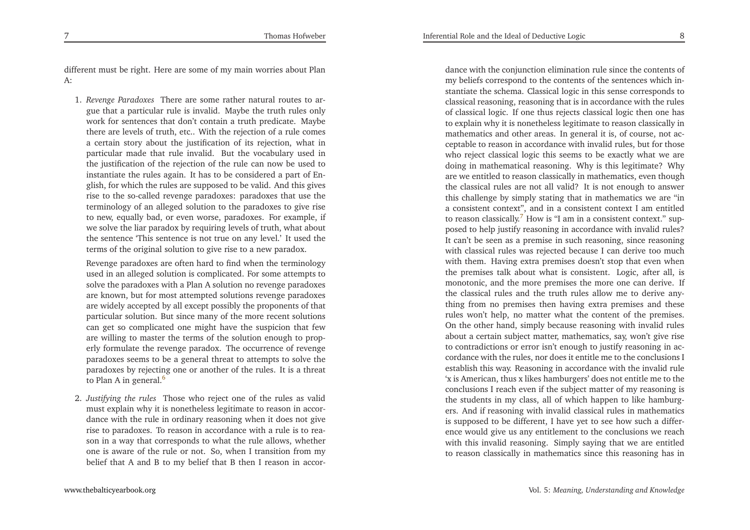different must be right. Here are some of my main worries about PlanA:

<span id="page-4-0"></span>1. *Revenge Paradoxes* There are some rather natural routes to argue that <sup>a</sup> particular rule is invalid. Maybe the truth rules only work for sentences that don't contain <sup>a</sup> truth predicate. Maybe there are levels of truth, etc.. With the rejection of <sup>a</sup> rule comes <sup>a</sup> certain story about the justification of its rejection, what in particular made that rule invalid. But the vocabulary used <sup>i</sup>n the justification of the rejection of the rule can now be used to instantiate the rules again. It has to be considered <sup>a</sup> par<sup>t</sup> of En<sup>g</sup>lish, for which the rules are supposed to be valid. And this <sup>g</sup>ives rise to the so-called revenge paradoxes: paradoxes that use the terminology of an alleged solution to the paradoxes to <sup>g</sup>ive rise to new, equally bad, or even worse, paradoxes. For example, if we solve the liar paradox by requiring levels of truth, what about the sentence 'This sentence is not true on any level.' It used the terms of the original solution to <sup>g</sup>ive rise to <sup>a</sup> new paradox.

Revenge paradoxes are often hard to find when the terminology used in an alleged solution is complicated. For some attempts to solve the paradoxes with <sup>a</sup> Plan <sup>A</sup> solution no revenge paradoxes are known, but for most attempted solutions revenge paradoxes are widely accepted by all excep<sup>t</sup> possibly the proponents of that particular solution. But since many of the more recent solutions can ge<sup>t</sup> so complicated one might have the suspicion that few are willing to master the terms of the solution enough to prop erly formulate the revenge paradox. The occurrence of revenge paradoxes seems to be <sup>a</sup> general threat to attempts to solve the paradoxes by rejecting one or another of the rules. It is <sup>a</sup> threatto Plan A in general.<sup>[6](#page-13-6)</sup>

2. *Justifying the rules* Those who reject one of the rules as valid must explain why it is nonetheless legitimate to reason in accordance with the rule in ordinary reasoning when it does not <sup>g</sup>ive rise to paradoxes. To reason in accordance with <sup>a</sup> rule is to reason in <sup>a</sup> way that corresponds to what the rule allows, whether one is aware of the rule or not. So, when <sup>I</sup> transition from mybelief that <sup>A</sup> and <sup>B</sup> to my belief that <sup>B</sup> then <sup>I</sup> reason in accor-

<span id="page-4-1"></span>dance with the conjunction elimination rule since the contents of my beliefs correspond to the contents of the sentences which instantiate the schema. Classical logic in this sense corresponds to classical reasoning, reasoning that is in accordance with the rules of classical logic. If one thus rejects classical logic then one has to explain why it is nonetheless legitimate to reason classically in mathematics and other areas. In general it is, of course, not acceptable to reason in accordance with invalid rules, but for those who reject classical logic this seems to be exactly what we are doing in mathematical reasoning. Why is this legitimate? Why are we entitled to reason classically in mathematics, even though the classical rules are not all valid? It is not enough to answer this challenge by simply stating that in mathematics we are "in <sup>a</sup> consistent context", and in <sup>a</sup> consistent context <sup>I</sup> am entitledto reason classically.<sup>[7](#page-13-7)</sup> How is "I am in a consistent context." supposed to help justify reasoning in accordance with invalid rules? It can't be seen as <sup>a</sup> premise in such reasoning, since reasoning with classical rules was rejected because <sup>I</sup> can derive too much with them. Having extra premises doesn't stop that even when the premises talk about what is consistent. Logic, after all, is monotonic, and the more premises the more one can derive. If the classical rules and the truth rules allow me to derive any thing from no premises then having extra premises and these rules won't help, no matter what the content of the premises. On the other hand, simply because reasoning with invalid rules about <sup>a</sup> certain subject matter, mathematics, say, won't <sup>g</sup>ive rise to contradictions or error isn't enough to justify reasoning in accordance with the rules, nor does it entitle me to the conclusions <sup>I</sup> establish this way. Reasoning in accordance with the invalid rule 'x is American, thus <sup>x</sup> likes hamburgers' does not entitle me to the conclusions <sup>I</sup> reach even if the subject matter of my reasoning is the students in my class, all of which happen to like hamburgers. And if reasoning with invalid classical rules in mathematics is supposed to be different, <sup>I</sup> have ye<sup>t</sup> to see how such <sup>a</sup> differ ence would <sup>g</sup>ive us any entitlement to the conclusions we reach with this invalid reasoning. Simply saying that we are entitledto reason classically in mathematics since this reasoning has in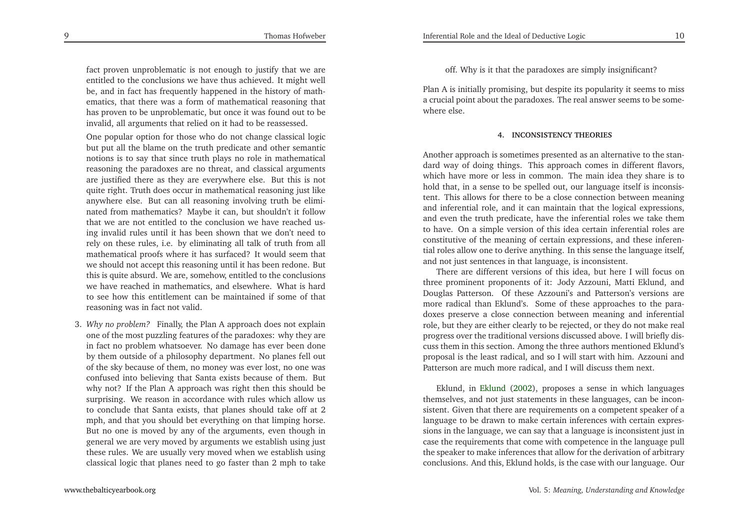fact proven unproblematic is not enough to justify that we are entitled to the conclusions we have thus achieved. It might well be, and in fact has frequently happened in the history of math ematics, that there was <sup>a</sup> form of mathematical reasoning that has proven to be unproblematic, but once it was found out to beinvalid, all arguments that relied on it had to be reassessed.

One popular option for those who do not change classical logic but pu<sup>t</sup> all the blame on the truth predicate and other semantic notions is to say that since truth <sup>p</sup>lays no role in mathematical reasoning the paradoxes are no threat, and classical arguments are justified there as they are everywhere else. But this is not quite right. Truth does occur in mathematical reasoning just like anywhere else. But can all reasoning involving truth be eliminated from mathematics? Maybe it can, but shouldn't it follow that we are not entitled to the conclusion we have reached using invalid rules until it has been shown that we don't need to rely on these rules, i.e. by eliminating all talk of truth from all mathematical proofs where it has surfaced? It would seem that we should not accep<sup>t</sup> this reasoning until it has been redone. But this is quite absurd. We are, somehow, entitled to the conclusions we have reached in mathematics, and elsewhere. What is hard to see how this entitlement can be maintained if some of thatreasoning was in fact not valid.

3. *Why no problem?* Finally, the Plan <sup>A</sup> approac<sup>h</sup> does not explain one of the most puzzling features of the paradoxes: why they are in fact no problem whatsoever. No damage has ever been done by them outside of <sup>a</sup> <sup>p</sup>hilosophy department. No <sup>p</sup>lanes fell out of the sky because of them, no money was ever lost, no one was confused into believing that Santa exists because of them. But why not? If the Plan <sup>A</sup> approach was right then this should be surprising. We reason in accordance with rules which allow us to conclude that Santa exists, that <sup>p</sup>lanes should take off at <sup>2</sup> mph, and that you should bet everything on that limping horse. But no one is moved by any of the arguments, even though in general we are very moved by arguments we establish using just these rules. We are usually very moved when we establish usingclassical logic that <sup>p</sup>lanes need to go faster than <sup>2</sup> mph to take

off. Why is it that the paradoxes are simply insignificant?

Plan <sup>A</sup> is initially promising, but despite its popularity it seems to miss <sup>a</sup> crucial point about the paradoxes. The real answer seems to be somewhere else.

#### **4. INCONSISTENCY THEORIES**

Another approach is sometimes presented as an alternative to the standard way of doing things. This approach comes in different flavors, which have more or less in common. The main idea they share is to hold that, in <sup>a</sup> sense to be spelled out, our language itself is inconsistent. This allows for there to be <sup>a</sup> close connection between meaning and inferential role, and it can maintain that the logical expressions, and even the truth predicate, have the inferential roles we take them to have. On <sup>a</sup> simple version of this idea certain inferential roles are constitutive of the meaning of certain expressions, and these inferential roles allow one to derive anything. In this sense the language itself, and not just sentences in that language, is inconsistent.

There are different versions of this idea, but here <sup>I</sup> will focus on three prominent proponents of it: Jody Azzouni, Matti Eklund, and Douglas Patterson. Of these Azzouni's and Patterson's versions are more radical than Eklund's. Some of these approaches to the paradoxes preserve <sup>a</sup> close connection between meaning and inferential role, but they are either clearly to be rejected, or they do not make real progress over the traditional versions discussed above. <sup>I</sup> will briefly discuss them in this section. Among the three authors mentioned Eklund's proposal is the least radical, and so <sup>I</sup> will start with him. Azzouni andPatterson are much more radical, and <sup>I</sup> will discuss them next.

Eklund, in [Eklund](#page-13-8) [\(2002](#page-13-8)), proposes <sup>a</sup> sense in which languages themselves, and not just statements in these languages, can be inconsistent. Given that there are requirements on <sup>a</sup> competent speaker of <sup>a</sup> language to be drawn to make certain inferences with certain expressions in the language, we can say that <sup>a</sup> language is inconsistent just in case the requirements that come with competence in the language pull the speaker to make inferences that allow for the derivation of arbitrary conclusions. And this, Eklund holds, is the case with our language. Our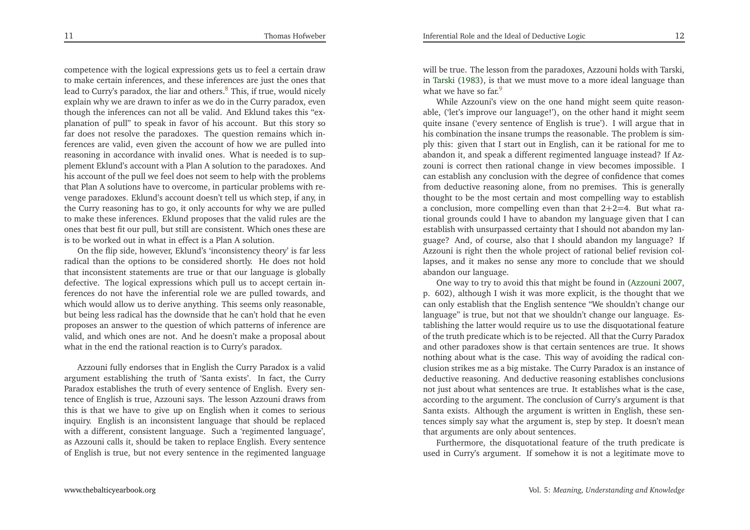11

competence with the logical expressions gets us to feel <sup>a</sup> certain draw to make certain inferences, and these inferences are just the ones thatlead to Curry's paradox, the liar and others.<sup>[8](#page-13-9)</sup> This, if true, would nicely explain why we are drawn to infer as we do in the Curry paradox, even though the inferences can not all be valid. And Eklund takes this "ex<sup>p</sup>lanation of pull" to speak in favor of his account. But this story so far does not resolve the paradoxes. The question remains which inferences are valid, even <sup>g</sup>iven the account of how we are pulled into reasoning in accordance with invalid ones. What is needed is to sup<sup>p</sup>lement Eklund's account with <sup>a</sup> Plan <sup>A</sup> solution to the paradoxes. And his account of the pull we feel does not seem to help with the problems that Plan <sup>A</sup> solutions have to overcome, in particular problems with revenge paradoxes. Eklund's account doesn't tell us which step, if any, in the Curry reasoning has to go, it only accounts for why we are pulled to make these inferences. Eklund proposes that the valid rules are the ones that best fit our pull, but still are consistent. Which ones these areis to be worked out in what in effect is <sup>a</sup> Plan <sup>A</sup> solution.

On the flip side, however, Eklund's 'inconsistency theory' is far less radical than the options to be considered shortly. He does not hold that inconsistent statements are true or that our language is <sup>g</sup>lobally defective. The logical expressions which pull us to accep<sup>t</sup> certain inferences do not have the inferential role we are pulled towards, and which would allow us to derive anything. This seems only reasonable, but being less radical has the downside that he can't hold that he even proposes an answer to the question of which patterns of inference are valid, and which ones are not. And he doesn't make <sup>a</sup> proposal aboutwhat in the end the rational reaction is to Curry's paradox.

Azzouni fully endorses that in English the Curry Paradox is <sup>a</sup> valid argumen<sup>t</sup> establishing the truth of 'Santa exists'. In fact, the Curry Paradox establishes the truth of every sentence of English. Every sentence of English is true, Azzouni says. The lesson Azzouni draws from this is that we have to <sup>g</sup>ive up on English when it comes to serious inquiry. English is an inconsistent language that should be replaced with <sup>a</sup> different, consistent language. Such <sup>a</sup> 'regimented language', as Azzouni calls it, should be taken to replace English. Every sentenceof English is true, but not every sentence in the regimented language

will be true. The lesson from the paradoxes, Azzouni holds with Tarski, in [Tarski](#page-13-10) [\(1983](#page-13-10)), is that we must move to a more ideal language than what we have so far.<sup>[9](#page-13-11)</sup>

<span id="page-6-1"></span>While Azzouni's view on the one hand might seem quite reasonable, ('let's improve our language!'), on the other hand it might seem quite insane ('every sentence of English is true'). <sup>I</sup> will argue that in his combination the insane trumps the reasonable. The problem is sim<sup>p</sup>ly this: <sup>g</sup>iven that <sup>I</sup> start out in English, can it be rational for me to abandon it, and speak <sup>a</sup> different regimented language instead? If Azzouni is correct then rational change in view becomes impossible. <sup>I</sup> can establish any conclusion with the degree of confidence that comes from deductive reasoning alone, from no premises. This is generally thought to be the most certain and most compelling way to establish <sup>a</sup> conclusion, more compelling even than that <sup>2</sup>+2=4. But what rational grounds could <sup>I</sup> have to abandon my language <sup>g</sup>iven that <sup>I</sup> can establish with unsurpassed certainty that <sup>I</sup> should not abandon my language? And, of course, also that <sup>I</sup> should abandon my language? If Azzouni is right then the whole project of rational belief revision collapses, and it makes no sense any more to conclude that we shouldabandon our language.

<span id="page-6-0"></span>One way to try to avoid this that might be found in [\(Azzouni](#page-13-12) [2007](#page-13-12), p. 602), although <sup>I</sup> wish it was more explicit, is the thought that we can only establish that the English sentence "We shouldn't change our language" is true, but not that we shouldn't change our language. Establishing the latter would require us to use the disquotational feature of the truth predicate which is to be rejected. All that the Curry Paradox and other paradoxes show is that certain sentences are true. It shows nothing about what is the case. This way of avoiding the radical conclusion strikes me as <sup>a</sup> big mistake. The Curry Paradox is an instance of deductive reasoning. And deductive reasoning establishes conclusions not just about what sentences are true. It establishes what is the case, according to the argument. The conclusion of Curry's argumen<sup>t</sup> is that Santa exists. Although the argumen<sup>t</sup> is written in English, these sentences simply say what the argumen<sup>t</sup> is, step by step. It doesn't meanthat arguments are only about sentences.

Furthermore, the disquotational feature of the truth predicate isused in Curry's argument. If somehow it is not <sup>a</sup> legitimate move to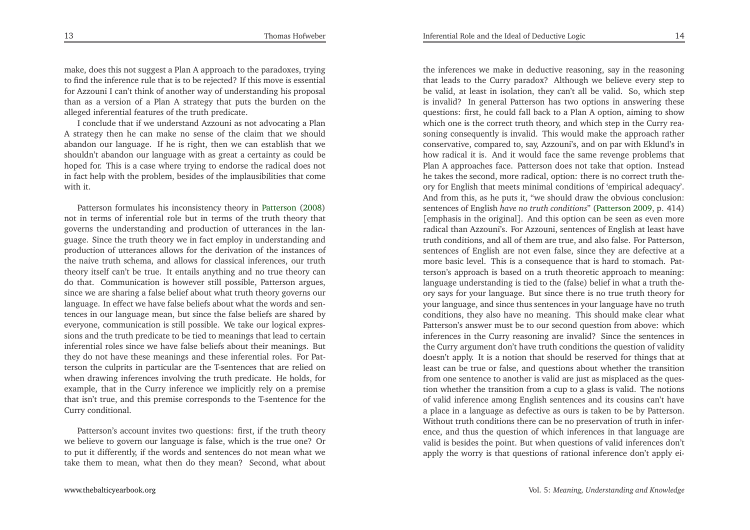make, does this not sugges<sup>t</sup> <sup>a</sup> Plan <sup>A</sup> approach to the paradoxes, trying to find the inference rule that is to be rejected? If this move is essentialfor Azzouni <sup>I</sup> can't think of another way of understanding his proposa<sup>l</sup> than as <sup>a</sup> version of <sup>a</sup> Plan <sup>A</sup> strategy that puts the burden on thealleged inferential features of the truth predicate.

<sup>I</sup> conclude that if we understand Azzouni as not advocating <sup>a</sup> Plan <sup>A</sup> strategy then he can make no sense of the claim that we should abandon our language. If he is right, then we can establish that we shouldn't abandon our language with as grea<sup>t</sup> <sup>a</sup> certainty as could be hoped for. This is <sup>a</sup> case where trying to endorse the radical does not in fact help with the problem, besides of the implausibilities that comewith it.

Patterson formulates his inconsistency theory in [Patterson](#page-13-13) [\(2008](#page-13-13)) not in terms of inferential role but in terms of the truth theory that governs the understanding and production of utterances in the language. Since the truth theory we in fact employ in understanding and production of utterances allows for the derivation of the instances of the naive truth schema, and allows for classical inferences, our truth theory itself can't be true. It entails anything and no true theory can do that. Communication is however still possible, Patterson argues, since we are sharing <sup>a</sup> false belief about what truth theory governs our language. In effect we have false beliefs about what the words and sentences in our language mean, but since the false beliefs are shared by everyone, communication is still possible. We take our logical expressions and the truth predicate to be tied to meanings that lead to certain inferential roles since we have false beliefs about their meanings. But they do not have these meanings and these inferential roles. For Patterson the culprits in particular are the T-sentences that are relied on when drawing inferences involving the truth predicate. He holds, for example, that in the Curry inference we implicitly rely on <sup>a</sup> premise that isn't true, and this premise corresponds to the T-sentence for theCurry conditional.

Patterson's account invites two questions: first, if the truth theory we believe to govern our language is false, which is the true one? Or to pu<sup>t</sup> it differently, if the words and sentences do not mean what wetake them to mean, what then do they mean? Second, what about

the inferences we make in deductive reasoning, say in the reasoning that leads to the Curry paradox? Although we believe every step to be valid, at least in isolation, they can't all be valid. So, which step is invalid? In general Patterson has two options in answering these questions: first, he could fall back to <sup>a</sup> Plan <sup>A</sup> option, aiming to show which one is the correct truth theory, and which step in the Curry reasoning consequently is invalid. This would make the approach rather conservative, compared to, say, Azzouni's, and on par with Eklund's in how radical it is. And it would face the same revenge problems that Plan <sup>A</sup> approaches face. Patterson does not take that option. Instead he takes the second, more radical, option: there is no correct truth theory for English that meets minimal conditions of 'empirical adequacy'. And from this, as he puts it, "we should draw the obvious conclusion: sentences of English *have no truth conditions*" [\(Patterson](#page-13-14) [2009](#page-13-14), p. 414) [emphasis in the original]. And this option can be seen as even more radical than Azzouni's. For Azzouni, sentences of English at least have truth conditions, and all of them are true, and also false. For Patterson, sentences of English are not even false, since they are defective at <sup>a</sup> more basic level. This is <sup>a</sup> consequence that is hard to stomach. Patterson's approach is based on <sup>a</sup> truth theoretic approach to meaning: language understanding is tied to the (false) belief in what <sup>a</sup> truth theory says for your language. But since there is no true truth theory for your language, and since thus sentences in your language have no truth conditions, they also have no meaning. This should make clear what Patterson's answer must be to our second question from above: which inferences in the Curry reasoning are invalid? Since the sentences in the Curry argumen<sup>t</sup> don't have truth conditions the question of validity doesn't apply. It is <sup>a</sup> notion that should be reserved for things that at least can be true or false, and questions about whether the transition from one sentence to another is valid are just as misplaced as the question whether the transition from <sup>a</sup> cup to <sup>a</sup> <sup>g</sup>lass is valid. The notions of valid inference among English sentences and its cousins can't have <sup>a</sup> <sup>p</sup>lace in <sup>a</sup> language as defective as ours is taken to be by Patterson. Without truth conditions there can be no preservation of truth in inference, and thus the question of which inferences in that language are valid is besides the point. But when questions of valid inferences don'tapply the worry is that questions of rational inference don't apply ei-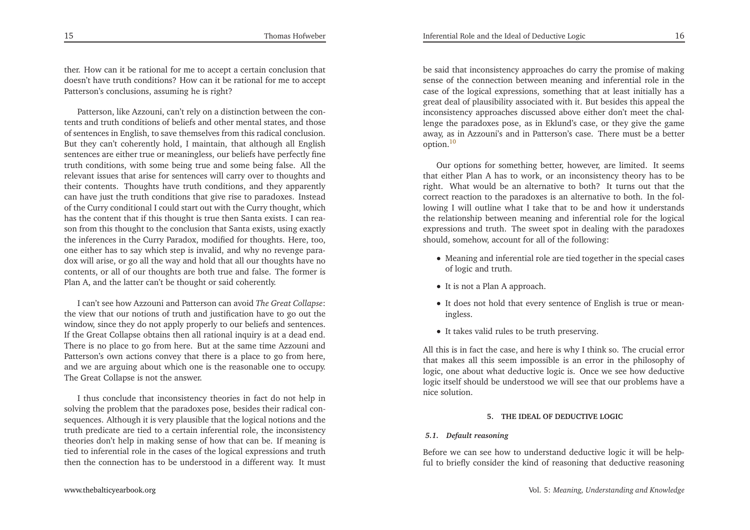ther. How can it be rational for me to accep<sup>t</sup> <sup>a</sup> certain conclusion that doesn't have truth conditions? How can it be rational for me to accep<sup>t</sup>Patterson's conclusions, assuming he is right?

Patterson, like Azzouni, can't rely on <sup>a</sup> distinction between the contents and truth conditions of beliefs and other mental states, and those of sentences in English, to save themselves from this radical conclusion. But they can't coherently hold, <sup>I</sup> maintain, that although all English sentences are either true or meaningless, our beliefs have perfectly fine truth conditions, with some being true and some being false. All the relevant issues that arise for sentences will carry over to thoughts and their contents. Thoughts have truth conditions, and they apparently can have just the truth conditions that <sup>g</sup>ive rise to paradoxes. Instead of the Curry conditional <sup>I</sup> could start out with the Curry thought, which has the content that if this thought is true then Santa exists. <sup>I</sup> can reason from this thought to the conclusion that Santa exists, using exactly the inferences in the Curry Paradox, modified for thoughts. Here, too, one either has to say which step is invalid, and why no revenge paradox will arise, or go all the way and hold that all our thoughts have no contents, or all of our thoughts are both true and false. The former isPlan A, and the latter can't be thought or said coherently.

<sup>I</sup> can't see how Azzouni and Patterson can avoid *The Great Collapse*: the view that our notions of truth and justification have to go out the window, since they do not apply properly to our beliefs and sentences. If the Great Collapse obtains then all rational inquiry is at <sup>a</sup> dead end. There is no <sup>p</sup>lace to go from here. But at the same time Azzouni and Patterson's own actions convey that there is <sup>a</sup> <sup>p</sup>lace to go from here, and we are arguing about which one is the reasonable one to occupy. The Great Collapse is not the answer.

<sup>I</sup> thus conclude that inconsistency theories in fact do not help in solving the problem that the paradoxes pose, besides their radical consequences. Although it is very <sup>p</sup>lausible that the logical notions and the truth predicate are tied to <sup>a</sup> certain inferential role, the inconsistency theories don't help in making sense of how that can be. If meaning is tied to inferential role in the cases of the logical expressions and truththen the connection has to be understood in <sup>a</sup> different way. It must

Inferential Role and the Ideal of Deductive Logicc  $16$ 

<span id="page-8-0"></span>be said that inconsistency approaches do carry the promise of making sense of the connection between meaning and inferential role in the case of the logical expressions, something that at least initially has <sup>a</sup> grea<sup>t</sup> deal of <sup>p</sup>lausibility associated with it. But besides this appeal the inconsistency approaches discussed above either don't meet the challenge the paradoxes pose, as in Eklund's case, or they <sup>g</sup>ive the game away, as in Azzouni's and in Patterson's case. There must be <sup>a</sup> better option.[10](#page-13-15)

Our options for something better, however, are limited. It seems that either Plan <sup>A</sup> has to work, or an inconsistency theory has to be right. What would be an alternative to both? It turns out that the correct reaction to the paradoxes is an alternative to both. In the following <sup>I</sup> will outline what <sup>I</sup> take that to be and how it understands the relationship between meaning and inferential role for the logical expressions and truth. The sweet spo<sup>t</sup> in dealing with the paradoxesshould, somehow, account for all of the following:

- Meaning and inferential role are tied together in the special cases of logic and truth.
- It is not <sup>a</sup> Plan <sup>A</sup> approach.
- It does not hold that every sentence of English is true or mean ingless.
- It takes valid rules to be truth preserving.

All this is in fact the case, and here is why <sup>I</sup> think so. The crucial error that makes all this seem impossible is an error in the <sup>p</sup>hilosophy of logic, one about what deductive logic is. Once we see how deductive logic itself should be understood we will see that our problems have <sup>a</sup>nice solution.

#### **5. THE IDEAL OF DEDUCTIVE LOGIC**

#### *5.1. Default reasoning*

Before we can see how to understand deductive logic it will be helpful to briefly consider the kind of reasoning that deductive reasoning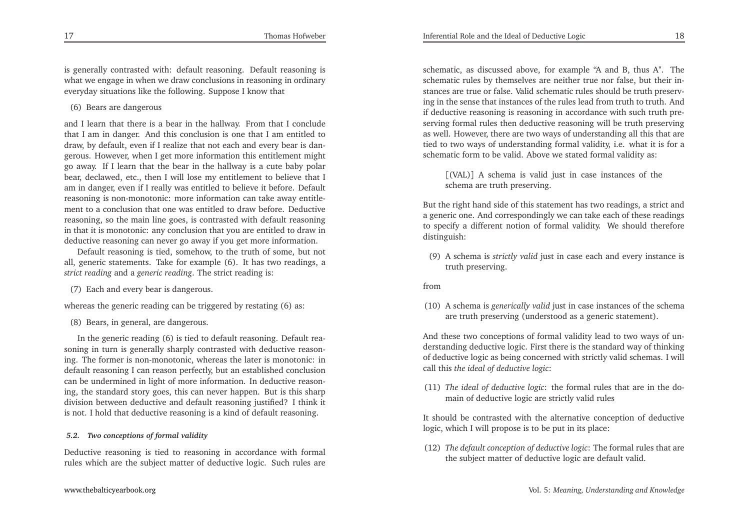is generally contrasted with: default reasoning. Default reasoning is what we engage in when we draw conclusions in reasoning in ordinaryeveryday situations like the following. Suppose <sup>I</sup> know that

(6) Bears are dangerous

and <sup>I</sup> learn that there is <sup>a</sup> bear in the hallway. From that <sup>I</sup> conclude that <sup>I</sup> am in danger. And this conclusion is one that <sup>I</sup> am entitled to draw, by default, even if <sup>I</sup> realize that not each and every bear is dangerous. However, when <sup>I</sup> ge<sup>t</sup> more information this entitlement might go away. If <sup>I</sup> learn that the bear in the hallway is <sup>a</sup> cute baby polar bear, declawed, etc., then <sup>I</sup> will lose my entitlement to believe that <sup>I</sup> am in danger, even if <sup>I</sup> really was entitled to believe it before. Default reasoning is non-monotonic: more information can take away entitlement to <sup>a</sup> conclusion that one was entitled to draw before. Deductive reasoning, so the main line goes, is contrasted with default reasoning in that it is monotonic: any conclusion that you are entitled to draw indeductive reasoning can never go away if you ge<sup>t</sup> more information.

Default reasoning is tied, somehow, to the truth of some, but not all, generic statements. Take for example (6). It has two readings, <sup>a</sup>*strict reading* and <sup>a</sup> *generic reading*. The strict reading is:

(7) Each and every bear is dangerous.

whereas the generic reading can be triggered by restating (6) as:

(8) Bears, in general, are dangerous.

In the generic reading (6) is tied to default reasoning. Default reasoning in turn is generally sharply contrasted with deductive reasoning. The former is non-monotonic, whereas the later is monotonic: in default reasoning <sup>I</sup> can reason perfectly, but an established conclusion can be undermined in light of more information. In deductive reasoning, the standard story goes, this can never happen. But is this sharp division between deductive and default reasoning justified? <sup>I</sup> think itis not. <sup>I</sup> hold that deductive reasoning is <sup>a</sup> kind of default reasoning.

#### *5.2. Two conceptions of formal validity*

Deductive reasoning is tied to reasoning in accordance with formal rules which are the subject matter of deductive logic. Such rules are

schematic, as discussed above, for example "A and B, thus A". The schematic rules by themselves are neither true nor false, but their instances are true or false. Valid schematic rules should be truth preserving in the sense that instances of the rules lead from truth to truth. And if deductive reasoning is reasoning in accordance with such truth preserving formal rules then deductive reasoning will be truth preserving as well. However, there are two ways of understanding all this that are tied to two ways of understanding formal validity, i.e. what it is for <sup>a</sup>schematic form to be valid. Above we stated formal validity as:

[(VAL)] <sup>A</sup> schema is valid just in case instances of theschema are truth preserving.

But the right hand side of this statement has two readings, <sup>a</sup> strict and <sup>a</sup> generic one. And correspondingly we can take each of these readings to specify <sup>a</sup> different notion of formal validity. We should thereforedistinguish:

(9) <sup>A</sup> schema is *strictly valid* just in case each and every instance is truth preserving.

#### from

(10) <sup>A</sup> schema is *generically valid* just in case instances of the schema are truth preserving (understood as <sup>a</sup> generic statement).

And these two conceptions of formal validity lead to two ways of understanding deductive logic. First there is the standard way of thinking of deductive logic as being concerned with strictly valid schemas. <sup>I</sup> willcall this *the ideal of deductive logic*:

(11) *The ideal of deductive logic*: the formal rules that are in the domain of deductive logic are strictly valid rules

It should be contrasted with the alternative conception of deductivelogic, which <sup>I</sup> will propose is to be pu<sup>t</sup> in its <sup>p</sup>lace:

(12) *The default conception of deductive logic*: The formal rules that arethe subject matter of deductive logic are default valid.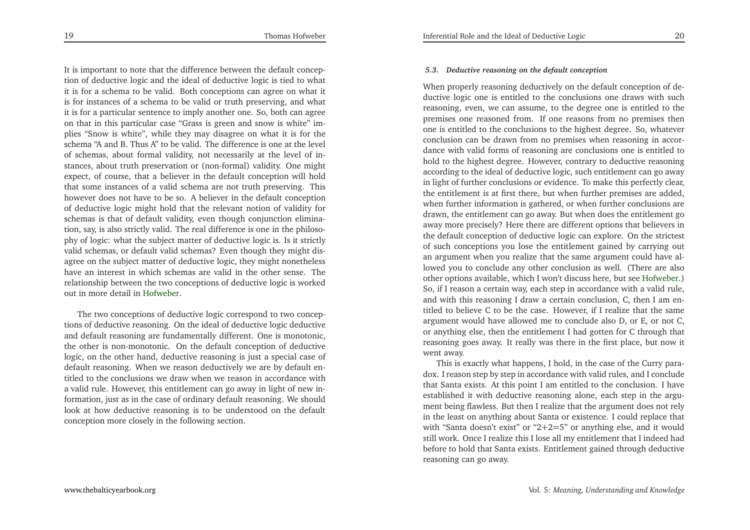It is important to note that the difference between the default conception of deductive logic and the ideal of deductive logic is tied to what it is for <sup>a</sup> schema to be valid. Both conceptions can agree on what it is for instances of <sup>a</sup> schema to be valid or truth preserving, and what it is for <sup>a</sup> particular sentence to imply another one. So, both can agree on that in this particular case "Grass is green and snow is white" im<sup>p</sup>lies "Snow is white", while they may disagree on what it is for the schema "A and B. Thus A" to be valid. The difference is one at the level of schemas, about formal validity, not necessarily at the level of instances, about truth preservation or (non-formal) validity. One might expect, of course, that <sup>a</sup> believer in the default conception will hold that some instances of <sup>a</sup> valid schema are not truth preserving. This however does not have to be so. <sup>A</sup> believer in the default conception of deductive logic might hold that the relevant notion of validity for schemas is that of default validity, even though conjunction elimination, say, is also strictly valid. The real difference is one in the <sup>p</sup>hiloso<sup>p</sup>hy of logic: what the subject matter of deductive logic is. Is it strictly valid schemas, or default valid schemas? Even though they might disagree on the subject matter of deductive logic, they might nonetheless have an interest in which schemas are valid in the other sense. The relationship between the two conceptions of deductive logic is workedout in more detail in [Hofweber](#page-13-16).

The two conceptions of deductive logic correspond to two conceptions of deductive reasoning. On the ideal of deductive logic deductive and default reasoning are fundamentally different. One is monotonic, the other is non-monotonic. On the default conception of deductive logic, on the other hand, deductive reasoning is just <sup>a</sup> special case of default reasoning. When we reason deductively we are by default entitled to the conclusions we draw when we reason in accordance with <sup>a</sup> valid rule. However, this entitlement can go away in light of new information, just as in the case of ordinary default reasoning. We should look at how deductive reasoning is to be understood on the defaultconception more closely in the following section.

#### *5.3. Deductive reasoning on the default conception*

When properly reasoning deductively on the default conception of deductive logic one is entitled to the conclusions one draws with such reasoning, even, we can assume, to the degree one is entitled to the premises one reasoned from. If one reasons from no premises then one is entitled to the conclusions to the highest degree. So, whatever conclusion can be drawn from no premises when reasoning in accordance with valid forms of reasoning are conclusions one is entitled to hold to the highest degree. However, contrary to deductive reasoning according to the ideal of deductive logic, such entitlement can go away in light of further conclusions or evidence. To make this perfectly clear, the entitlement is at first there, but when further premises are added, when further information is gathered, or when further conclusions are drawn, the entitlement can go away. But when does the entitlement go away more precisely? Here there are different options that believers in the default conception of deductive logic can explore. On the strictest of such conceptions you lose the entitlement gained by carrying out an argumen<sup>t</sup> when you realize that the same argumen<sup>t</sup> could have allowed you to conclude any other conclusion as well. (There are also other options available, which <sup>I</sup> won't discuss here, but see [Hofweber](#page-13-16).) So, if <sup>I</sup> reason <sup>a</sup> certain way, each step in accordance with <sup>a</sup> valid rule, and with this reasoning <sup>I</sup> draw <sup>a</sup> certain conclusion, C, then <sup>I</sup> am entitled to believe <sup>C</sup> to be the case. However, if <sup>I</sup> realize that the same argumen<sup>t</sup> would have allowed me to conclude also D, or E, or not C, or anything else, then the entitlement <sup>I</sup> had gotten for <sup>C</sup> through that reasoning goes away. It really was there in the first <sup>p</sup>lace, but now itwent away.

This is exactly what happens, <sup>I</sup> hold, in the case of the Curry paradox. <sup>I</sup> reason step by step in accordance with valid rules, and <sup>I</sup> conclude that Santa exists. At this point <sup>I</sup> am entitled to the conclusion. <sup>I</sup> have established it with deductive reasoning alone, each step in the argument being flawless. But then <sup>I</sup> realize that the argumen<sup>t</sup> does not rely in the least on anything about Santa or existence. <sup>I</sup> could replace that with "Santa doesn't exist" or "2<sup>+</sup>2=5" or anything else, and it would still work. Once <sup>I</sup> realize this <sup>I</sup> lose all my entitlement that <sup>I</sup> indeed had before to hold that Santa exists. Entitlement gained through deductivereasoning can go away.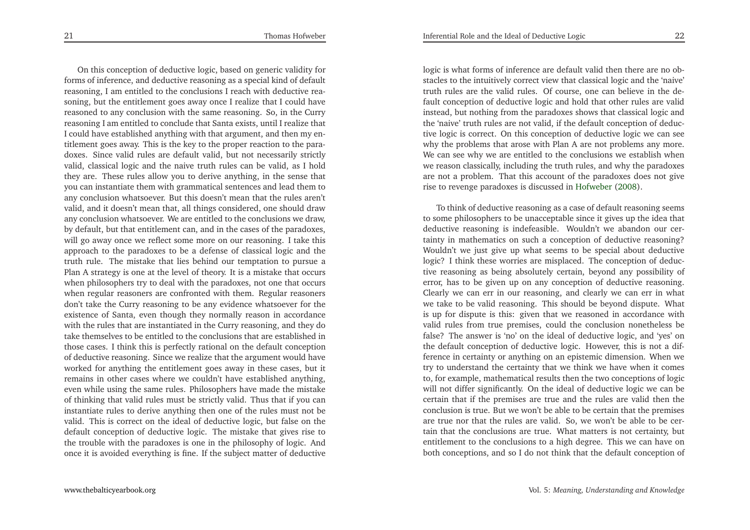On this conception of deductive logic, based on generic validity for forms of inference, and deductive reasoning as <sup>a</sup> special kind of default reasoning, <sup>I</sup> am entitled to the conclusions <sup>I</sup> reach with deductive reasoning, but the entitlement goes away once <sup>I</sup> realize that <sup>I</sup> could have reasoned to any conclusion with the same reasoning. So, in the Curry reasoning <sup>I</sup> am entitled to conclude that Santa exists, until <sup>I</sup> realize that <sup>I</sup> could have established anything with that argument, and then my entitlement goes away. This is the key to the proper reaction to the paradoxes. Since valid rules are default valid, but not necessarily strictly valid, classical logic and the naive truth rules can be valid, as <sup>I</sup> hold they are. These rules allow you to derive anything, in the sense that you can instantiate them with grammatical sentences and lead them to any conclusion whatsoever. But this doesn't mean that the rules aren't valid, and it doesn't mean that, all things considered, one should draw any conclusion whatsoever. We are entitled to the conclusions we draw, by default, but that entitlement can, and in the cases of the paradoxes, will go away once we reflect some more on our reasoning. <sup>I</sup> take this approach to the paradoxes to be <sup>a</sup> defense of classical logic and the truth rule. The mistake that lies behind our temptation to pursue <sup>a</sup> Plan <sup>A</sup> strategy is one at the level of theory. It is <sup>a</sup> mistake that occurs when <sup>p</sup>hilosophers try to deal with the paradoxes, not one that occurs when regular reasoners are confronted with them. Regular reasoners don't take the Curry reasoning to be any evidence whatsoever for the existence of Santa, even though they normally reason in accordance with the rules that are instantiated in the Curry reasoning, and they do take themselves to be entitled to the conclusions that are established in those cases. <sup>I</sup> think this is perfectly rational on the default conception of deductive reasoning. Since we realize that the argumen<sup>t</sup> would have worked for anything the entitlement goes away in these cases, but it remains in other cases where we couldn't have established anything, even while using the same rules. Philosophers have made the mistake of thinking that valid rules must be strictly valid. Thus that if you can instantiate rules to derive anything then one of the rules must not be valid. This is correct on the ideal of deductive logic, but false on the default conception of deductive logic. The mistake that <sup>g</sup>ives rise to the trouble with the paradoxes is one in the <sup>p</sup>hilosophy of logic. Andonce it is avoided everything is fine. If the subject matter of deductive

logic is what forms of inference are default valid then there are no obstacles to the intuitively correct view that classical logic and the 'naive' truth rules are the valid rules. Of course, one can believe in the default conception of deductive logic and hold that other rules are valid instead, but nothing from the paradoxes shows that classical logic and the 'naive' truth rules are not valid, if the default conception of deductive logic is correct. On this conception of deductive logic we can see why the problems that arose with Plan <sup>A</sup> are not problems any more. We can see why we are entitled to the conclusions we establish when we reason classically, including the truth rules, and why the paradoxes are not <sup>a</sup> problem. That this account of the paradoxes does not <sup>g</sup>iverise to revenge paradoxes is discussed in [Hofweber](#page-13-17) [\(2008](#page-13-17)).

To think of deductive reasoning as <sup>a</sup> case of default reasoning seems to some <sup>p</sup>hilosophers to be unacceptable since it <sup>g</sup>ives up the idea that deductive reasoning is indefeasible. Wouldn't we abandon our certainty in mathematics on such <sup>a</sup> conception of deductive reasoning? Wouldn't we just <sup>g</sup>ive up what seems to be special about deductive logic? <sup>I</sup> think these worries are misplaced. The conception of deductive reasoning as being absolutely certain, beyond any possibility of error, has to be <sup>g</sup>iven up on any conception of deductive reasoning. Clearly we can err in our reasoning, and clearly we can err in what we take to be valid reasoning. This should be beyond dispute. What is up for dispute is this: <sup>g</sup>iven that we reasoned in accordance with valid rules from true premises, could the conclusion nonetheless be false? The answer is 'no' on the ideal of deductive logic, and 'yes' on the default conception of deductive logic. However, this is not <sup>a</sup> difference in certainty or anything on an epistemic dimension. When we try to understand the certainty that we think we have when it comes to, for example, mathematical results then the two conceptions of logic will not differ significantly. On the ideal of deductive logic we can be certain that if the premises are true and the rules are valid then the conclusion is true. But we won't be able to be certain that the premises are true nor that the rules are valid. So, we won't be able to be certain that the conclusions are true. What matters is not certainty, but entitlement to the conclusions to <sup>a</sup> high degree. This we can have onboth conceptions, and so <sup>I</sup> do not think that the default conception of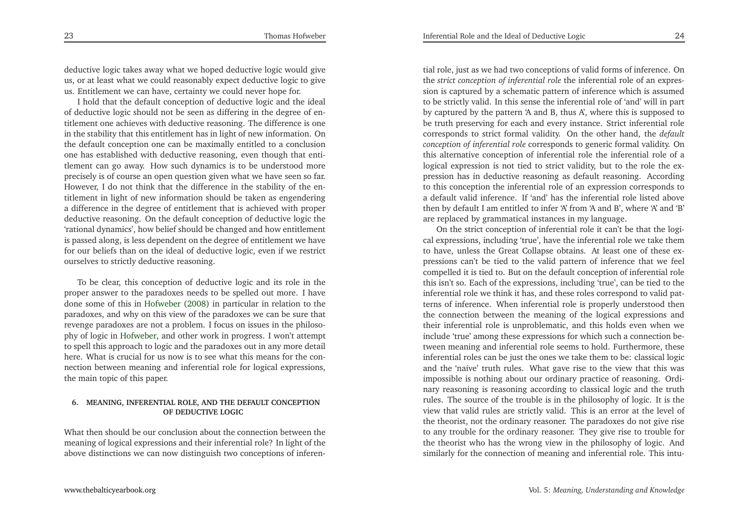deductive logic takes away what we hoped deductive logic would <sup>g</sup>ive us, or at least what we could reasonably expec<sup>t</sup> deductive logic to <sup>g</sup>iveus. Entitlement we can have, certainty we could never hope for.

<sup>I</sup> hold that the default conception of deductive logic and the ideal of deductive logic should not be seen as differing in the degree of entitlement one achieves with deductive reasoning. The difference is one in the stability that this entitlement has in light of new information. On the default conception one can be maximally entitled to <sup>a</sup> conclusion one has established with deductive reasoning, even though that entitlement can go away. How such dynamics is to be understood more precisely is of course an open question <sup>g</sup>iven what we have seen so far. However, <sup>I</sup> do not think that the difference in the stability of the entitlement in light of new information should be taken as engendering <sup>a</sup> difference in the degree of entitlement that is achieved with proper deductive reasoning. On the default conception of deductive logic the 'rational dynamics', how belief should be changed and how entitlement is passed along, is less dependent on the degree of entitlement we have for our beliefs than on the ideal of deductive logic, even if we restrictourselves to strictly deductive reasoning.

To be clear, this conception of deductive logic and its role in the proper answer to the paradoxes needs to be spelled out more. <sup>I</sup> have done some of this in [Hofweber](#page-13-17) [\(2008](#page-13-17)) in particular in relation to the paradoxes, and why on this view of the paradoxes we can be sure that revenge paradoxes are not <sup>a</sup> problem. <sup>I</sup> focus on issues in the <sup>p</sup>hiloso<sup>p</sup>hy of logic in [Hofweber](#page-13-16), and other work in progress. <sup>I</sup> won't attempt to spell this approach to logic and the paradoxes out in any more detail here. What is crucial for us now is to see what this means for the connection between meaning and inferential role for logical expressions, the main topic of this paper.

#### **6. MEANING, INFERENTIAL ROLE, AND THE DEFAULT CONCEPTIONOF DEDUCTIVE LOGIC**

What then should be our conclusion about the connection between the meaning of logical expressions and their inferential role? In light of theabove distinctions we can now distinguish two conceptions of inferen-

tial role, just as we had two conceptions of valid forms of inference. On the *strict conception of inferential role* the inferential role of an expression is captured by <sup>a</sup> schematic pattern of inference which is assumed to be strictly valid. In this sense the inferential role of 'and' will in par<sup>t</sup> by captured by the pattern 'A and B, thus A', where this is supposed to be truth preserving for each and every instance. Strict inferential role corresponds to strict formal validity. On the other hand, the *default conception of inferential role* corresponds to generic formal validity. On this alternative conception of inferential role the inferential role of <sup>a</sup> logical expression is not tied to strict validity, but to the role the expression has in deductive reasoning as default reasoning. According to this conception the inferential role of an expression corresponds to <sup>a</sup> default valid inference. If 'and' has the inferential role listed above then by default <sup>I</sup> am entitled to infer 'A' from 'A and B', where 'A' and 'B' are replaced by grammatical instances in my language.

On the strict conception of inferential role it can't be that the logical expressions, including 'true', have the inferential role we take them to have, unless the Great Collapse obtains. At least one of these expressions can't be tied to the valid pattern of inference that we feel compelled it is tied to. But on the default conception of inferential role this isn't so. Each of the expressions, including 'true', can be tied to the inferential role we think it has, and these roles correspond to valid patterns of inference. When inferential role is properly understood then the connection between the meaning of the logical expressions and their inferential role is unproblematic, and this holds even when we include 'true' among these expressions for which such <sup>a</sup> connection between meaning and inferential role seems to hold. Furthermore, these inferential roles can be just the ones we take them to be: classical logic and the 'naive' truth rules. What gave rise to the view that this was impossible is nothing about our ordinary practice of reasoning. Ordinary reasoning is reasoning according to classical logic and the truth rules. The source of the trouble is in the <sup>p</sup>hilosophy of logic. It is the view that valid rules are strictly valid. This is an error at the level of the theorist, not the ordinary reasoner. The paradoxes do not <sup>g</sup>ive rise to any trouble for the ordinary reasoner. They <sup>g</sup>ive rise to trouble for the theorist who has the wrong view in the <sup>p</sup>hilosophy of logic. Andsimilarly for the connection of meaning and inferential role. This intu-